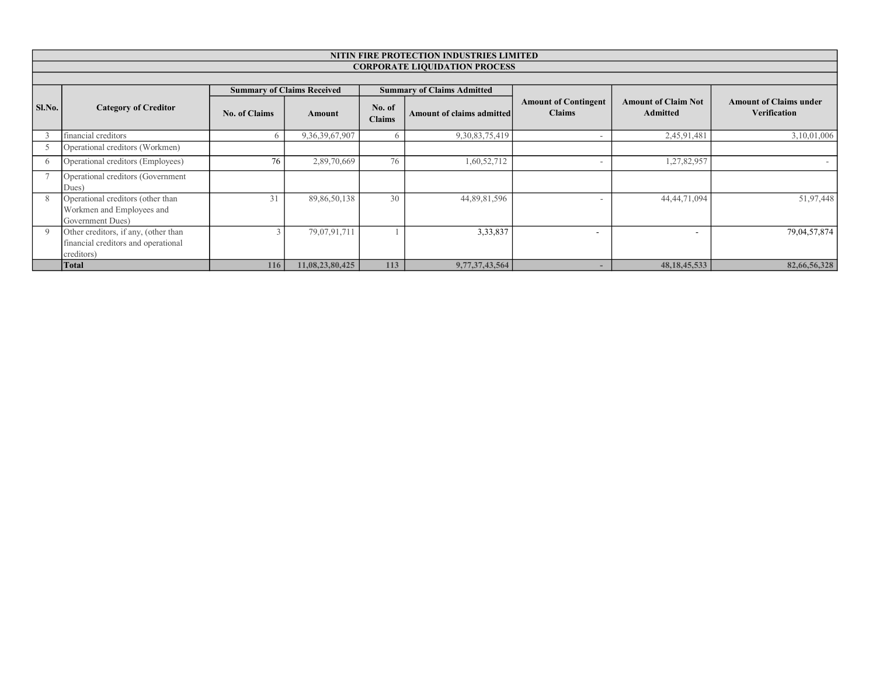|          | NITIN FIRE PROTECTION INDUSTRIES LIMITED                                                  |                      |                                   |                         |                                   |                                              |                                               |                                                      |  |  |  |  |
|----------|-------------------------------------------------------------------------------------------|----------------------|-----------------------------------|-------------------------|-----------------------------------|----------------------------------------------|-----------------------------------------------|------------------------------------------------------|--|--|--|--|
|          | <b>CORPORATE LIQUIDATION PROCESS</b>                                                      |                      |                                   |                         |                                   |                                              |                                               |                                                      |  |  |  |  |
|          |                                                                                           |                      |                                   |                         |                                   |                                              |                                               |                                                      |  |  |  |  |
|          |                                                                                           |                      | <b>Summary of Claims Received</b> |                         | <b>Summary of Claims Admitted</b> |                                              |                                               |                                                      |  |  |  |  |
| Sl.No.   | <b>Category of Creditor</b>                                                               | <b>No. of Claims</b> | Amount                            | No. of<br><b>Claims</b> | Amount of claims admitted         | <b>Amount of Contingent</b><br><b>Claims</b> | <b>Amount of Claim Not</b><br><b>Admitted</b> | <b>Amount of Claims under</b><br><b>Verification</b> |  |  |  |  |
|          | financial creditors                                                                       |                      | 9,36,39,67,907                    | <sub>6</sub>            | 9, 30, 83, 75, 419                |                                              | 2,45,91,481                                   | 3,10,01,006                                          |  |  |  |  |
|          | Operational creditors (Workmen)                                                           |                      |                                   |                         |                                   |                                              |                                               |                                                      |  |  |  |  |
| $\theta$ | Operational creditors (Employees)                                                         | 76                   | 2,89,70,669                       | 76                      | 1,60,52,712                       | $\overline{\phantom{a}}$                     | 1,27,82,957                                   |                                                      |  |  |  |  |
|          | Operational creditors (Government<br>Dues)                                                |                      |                                   |                         |                                   |                                              |                                               |                                                      |  |  |  |  |
|          | Operational creditors (other than<br>Workmen and Employees and<br>Government Dues)        | 31                   | 89,86,50,138                      | 30                      | 44,89,81,596                      |                                              | 44, 44, 71, 094                               | 51,97,448                                            |  |  |  |  |
| Q        | Other creditors, if any, (other than<br>financial creditors and operational<br>creditors) |                      | 79,07,91,711                      |                         | 3,33,837                          | $\overline{\phantom{a}}$                     |                                               | 79,04,57,874                                         |  |  |  |  |
|          | <b>Total</b>                                                                              | 116                  | 11,08,23,80,425                   | 113                     | 9,77,37,43,564                    |                                              | 48, 18, 45, 533                               | 82,66,56,328                                         |  |  |  |  |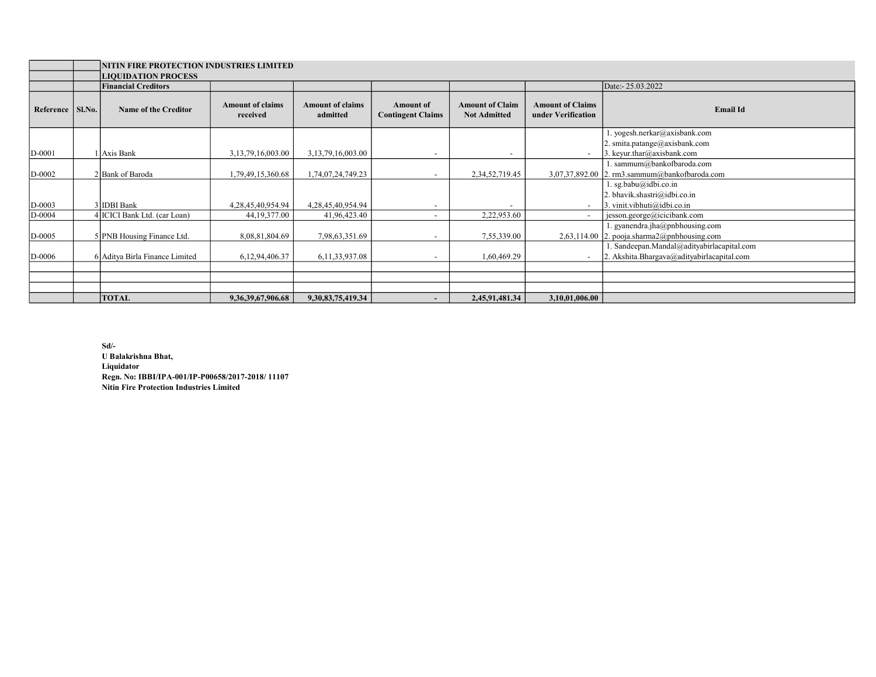|           |        | NITIN FIRE PROTECTION INDUSTRIES LIMITED<br><b>LIQUIDATION PROCESS</b> |                                     |                                     |                                              |                                               |                                               |                                                                                         |  |  |
|-----------|--------|------------------------------------------------------------------------|-------------------------------------|-------------------------------------|----------------------------------------------|-----------------------------------------------|-----------------------------------------------|-----------------------------------------------------------------------------------------|--|--|
|           |        | <b>Financial Creditors</b>                                             |                                     |                                     |                                              |                                               |                                               | Date:- 25.03.2022                                                                       |  |  |
| Reference | Sl.No. | <b>Name of the Creditor</b>                                            | <b>Amount of claims</b><br>received | <b>Amount of claims</b><br>admitted | <b>Amount of</b><br><b>Contingent Claims</b> | <b>Amount of Claim</b><br><b>Not Admitted</b> | <b>Amount of Claims</b><br>under Verification | <b>Email Id</b>                                                                         |  |  |
|           |        |                                                                        |                                     |                                     |                                              |                                               |                                               | . yogesh.nerkar@axisbank.com                                                            |  |  |
|           |        |                                                                        |                                     |                                     |                                              |                                               |                                               | 2. smita.patange@axisbank.com                                                           |  |  |
| $D-0001$  |        | 1 Axis Bank                                                            | 3,13,79,16,003.00                   | 3, 13, 79, 16, 003.00               | $\overline{\phantom{a}}$                     |                                               |                                               | 3. keyur.thar@axisbank.com                                                              |  |  |
|           |        |                                                                        |                                     |                                     |                                              |                                               |                                               | . sammum@bankofbaroda.com                                                               |  |  |
| $D-0002$  |        | 2 Bank of Baroda                                                       | ,79,49,15,360.68                    | 1,74,07,24,749.23                   |                                              | 2, 34, 52, 719. 45                            |                                               | 3,07,37,892.00 2. rm3.sammum@bankofbaroda.com                                           |  |  |
|           |        |                                                                        |                                     |                                     |                                              |                                               |                                               | . sg.babu@idbi.co.in<br>2. bhavik.shastri@idbi.co.in                                    |  |  |
| $D-0003$  |        | 3 IDBI Bank                                                            | 4,28,45,40,954.94                   | 4,28,45,40,954.94                   |                                              |                                               |                                               | 3. vinit.vibhuti@idbi.co.in                                                             |  |  |
| $D-0004$  |        | 4 ICICI Bank Ltd. (car Loan)                                           | 44, 19, 377.00                      | 41,96,423.40                        |                                              | 2,22,953.60                                   |                                               | jesson.george@icicibank.com                                                             |  |  |
| $D-0005$  |        | 5 PNB Housing Finance Ltd.                                             | 8,08,81,804.69                      | 7,98,63,351.69                      |                                              | 7,55,339.00                                   | 2,63,114.00                                   | . gyanendra.jha@pnbhousing.com<br>2. pooja.sharma2@pnbhousing.com                       |  |  |
| D-0006    |        | 6 Aditya Birla Finance Limited                                         | 6,12,94,406.37                      | 6,11,33,937.08                      |                                              | 1,60,469.29                                   |                                               | . Sandeepan.Mandal@adityabirlacapital.com<br>2. Akshita.Bhargava@adityabirlacapital.com |  |  |
|           |        |                                                                        |                                     |                                     |                                              |                                               |                                               |                                                                                         |  |  |
|           |        |                                                                        |                                     |                                     |                                              |                                               |                                               |                                                                                         |  |  |
|           |        |                                                                        |                                     |                                     |                                              |                                               |                                               |                                                                                         |  |  |
|           |        | <b>TOTAL</b>                                                           | 9,36,39,67,906.68                   | 9,30,83,75,419.34                   |                                              | 2,45,91,481.34                                | 3,10,01,006.00                                |                                                                                         |  |  |

Sd/- U Balakrishna Bhat, Liquidator Regn. No: IBBI/IPA-001/IP-P00658/2017-2018/ 11107 Nitin Fire Protection Industries Limited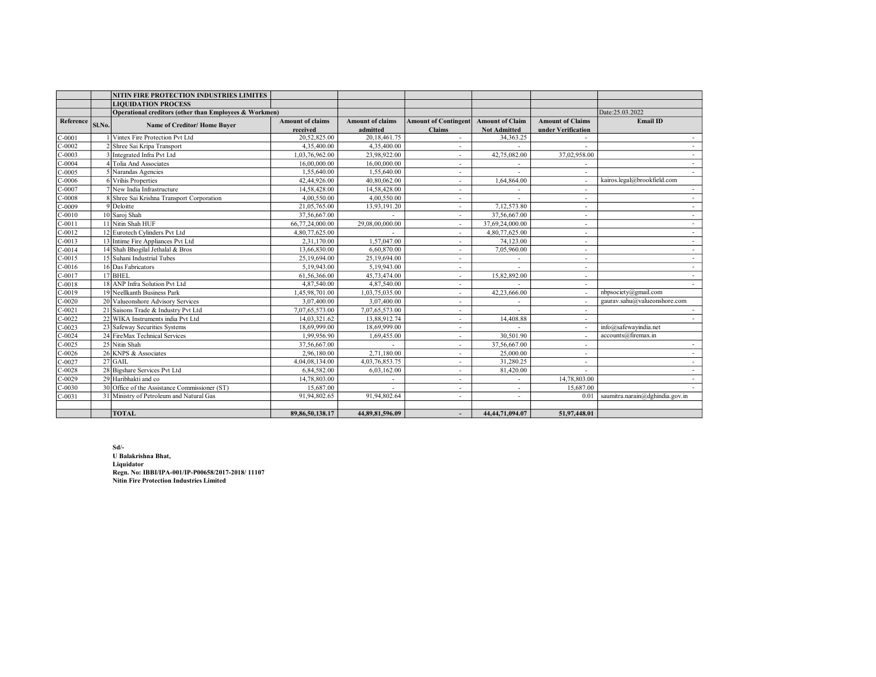|           |        | NITIN FIRE PROTECTION INDUSTRIES LIMITES               |                         |                         |                             |                        |                          |                                 |
|-----------|--------|--------------------------------------------------------|-------------------------|-------------------------|-----------------------------|------------------------|--------------------------|---------------------------------|
|           |        | <b>LIQUIDATION PROCESS</b>                             |                         |                         |                             |                        |                          |                                 |
|           |        | Operational creditors (other than Employees & Workmen) |                         |                         |                             |                        |                          | Date:25.03.2022                 |
| Reference | Sl.No. | Name of Creditor/Home Buyer                            | <b>Amount of claims</b> | <b>Amount of claims</b> | <b>Amount of Contingent</b> | <b>Amount of Claim</b> | <b>Amount of Claims</b>  | <b>Email ID</b>                 |
|           |        |                                                        | received                | admitted                | <b>Claims</b>               | <b>Not Admitted</b>    | under Verification       |                                 |
| $C-0001$  |        | Vintex Fire Protection Pvt Ltd                         | 20,52,825.00            | 20, 18, 461. 75         |                             | 34, 363. 25            |                          | $\sim$                          |
| $C-0002$  |        | 2 Shree Sai Kripa Transport                            | 4,35,400.00             | 4,35,400.00             | $\overline{a}$              |                        |                          | $\sim$                          |
| $C-0003$  |        | 3 Integrated Infra Pvt Ltd                             | 1,03,76,962.00          | 23.98.922.00            | $\overline{a}$              | 42,75,082.00           | 37,02,958.00             | $\sim$                          |
| $C-0004$  |        | 4 Tolia And Associates                                 | 16,00,000.00            | 16,00,000.00            | $\overline{a}$              |                        |                          | $\sim$                          |
| $C-0005$  |        | 5 Narandas Agencies                                    | 1.55,640.00             | 1,55,640.00             | $\overline{\phantom{a}}$    |                        |                          |                                 |
| $C-0006$  |        | 6 Vrihis Properties                                    | 42,44,926.00            | 40,80,062.00            | $\overline{a}$              | 1,64,864.00            |                          | kairos.legal@brookfield.com     |
| $C-0007$  |        | 7 New India Infrastructure                             | 14,58,428.00            | 14,58,428.00            |                             |                        |                          |                                 |
| $C-0008$  |        | 8 Shree Sai Krishna Transport Corporation              | 4,00,550.00             | 4,00,550.00             | ٠                           |                        | $\overline{a}$           |                                 |
| $C-0009$  |        | $9$ Deloitte                                           | 21,05,765.00            | 13,93,191.20            | $\sim$                      | 7,12,573.80            | $\overline{\phantom{a}}$ |                                 |
| $C-0010$  |        | 10 Saroj Shah                                          | 37,56,667.00            |                         | $\sim$                      | 37,56,667.00           | $\overline{\phantom{a}}$ | $\sim$                          |
| $C-0011$  |        | 11 Nitin Shah HUF                                      | 66,77,24,000.00         | 29,08,00,000.00         | $\sim$                      | 37,69,24,000.00        | $\overline{\phantom{a}}$ | $\sim$                          |
| $C-0012$  |        | 12 Eurotech Cylinders Pyt Ltd                          | 4,80,77,625.00          |                         | ٠                           | 4,80,77,625.00         | $\overline{\phantom{a}}$ | $\sim$                          |
| $C-0013$  |        | 13 Intime Fire Appliances Pvt Ltd                      | 2,31,170.00             | 1,57,047.00             | $\overline{a}$              | 74,123.00              | $\overline{a}$           | $\sim$                          |
| $C-0014$  |        | 14 Shah Bhogilal Jethalal & Bros                       | 13,66,830.00            | 6,60,870.00             | ٠                           | 7,05,960.00            | $\overline{\phantom{a}}$ | $\sim$                          |
| $C-0015$  |        | 15 Suhani Industrial Tubes                             | 25,19,694.00            | 25,19,694.00            | $\overline{a}$              |                        | $\overline{\phantom{a}}$ | $\sim$                          |
| $C-0016$  |        | 16 Das Fabricators                                     | 5,19,943.00             | 5,19,943.00             |                             |                        | $\overline{\phantom{a}}$ | $\sim$                          |
| $C-0017$  |        | $17$ BHEL                                              | 61,56,366.00            | 45,73,474.00            | $\sim$                      | 15,82,892.00           | $\overline{\phantom{a}}$ | $\sim$                          |
| $C-0018$  |        | 18 ANP Infra Solution Pvt Ltd                          | 4,87,540.00             | 4,87,540.00             | $\overline{a}$              |                        | $\overline{a}$           |                                 |
| $C-0019$  |        | 19 Neellkanth Business Park                            | 1,45,98,701.00          | 1,03,75,035.00          | $\overline{a}$              | 42,23,666.00           | ÷,                       | nbpsociety@gmail.com            |
| $C-0020$  |        | 20 Valueonshore Advisory Services                      | 3,07,400.00             | 3,07,400.00             |                             |                        |                          | gauray.sahu@valueonshore.com    |
| $C-0021$  |        | 21 Saisons Trade & Industry Pvt Ltd                    | 7,07,65,573.00          | 7,07,65,573.00          | L,                          |                        |                          |                                 |
| $C-0022$  |        | 22 WIKA Instruments india Pvt Ltd                      | 14,03,321.62            | 13,88,912.74            | $\overline{a}$              | 14,408.88              |                          |                                 |
| $C-0023$  |        | 23 Safeway Securities Systems                          | 18,69,999.00            | 18,69,999.00            | $\overline{a}$              |                        |                          | info@safewayindia.net           |
| $C-0024$  |        | 24 FireMax Technical Services                          | 1,99,956.90             | 1,69,455.00             | $\overline{a}$              | 30,501.90              |                          | accounts@firemax.in             |
| $C-0025$  |        | 25 Nitin Shah                                          | 37,56,667.00            |                         |                             | 37,56,667.00           |                          |                                 |
| $C-0026$  |        | 26 KNPS & Associates                                   | 2,96,180.00             | 2,71,180.00             |                             | 25,000.00              |                          |                                 |
| $C-0027$  |        | $27$ GAIL                                              | 4,04,08,134.00          | 4,03,76,853.75          | L,                          | 31,280.25              | $\overline{a}$           | $\sim$                          |
| $C-0028$  |        | 28 Bigshare Services Pvt Ltd                           | 6,84,582.00             | 6,03,162.00             | L,                          | 81,420.00              |                          | $\sim$                          |
| $C-0029$  |        | 29 Haribhakti and co                                   | 14,78,803.00            | $\overline{a}$          | ٠                           |                        | 14,78,803.00             | $\overline{\phantom{a}}$        |
| $C-0030$  |        | 30 Office of the Assistance Commissioner (ST)          | 15,687.00               | $\mathbf{r}$            | ٠                           | ٠                      | 15,687.00                |                                 |
| $C-0031$  |        | 31 Ministry of Petroleum and Natural Gas               | 91,94,802.65            | 91,94,802.64            | $\overline{a}$              | ÷                      | 0.01                     | saumitra.narain@dghindia.gov.in |
|           |        |                                                        |                         |                         |                             |                        |                          |                                 |
|           |        | <b>TOTAL</b>                                           | 89, 86, 50, 138. 17     | 44,89,81,596.09         | ۰                           | 44,44,71,094.07        | 51,97,448.01             |                                 |

Sd/- U Balakrishna Bhat, Liquidator Regn. No: IBBI/IPA-001/IP-P00658/2017-2018/ 11107 Nitin Fire Protection Industries Limited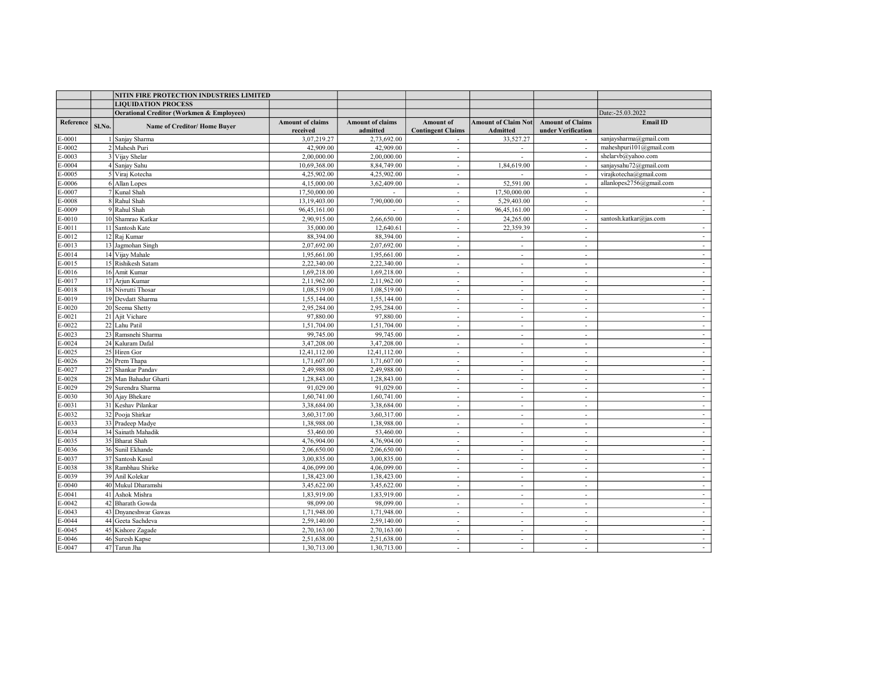|           |        | NITIN FIRE PROTECTION INDUSTRIES LIMITED             |                         |                         |                             |                            |                          |                          |
|-----------|--------|------------------------------------------------------|-------------------------|-------------------------|-----------------------------|----------------------------|--------------------------|--------------------------|
|           |        | <b>LIQUIDATION PROCESS</b>                           |                         |                         |                             |                            |                          |                          |
|           |        | <b>Oerational Creditor (Workmen &amp; Employees)</b> |                         |                         |                             |                            |                          | Date:-25.03.2022         |
| Reference | Sl.No. | Name of Creditor/Home Buyer                          | <b>Amount of claims</b> | <b>Amount of claims</b> | Amount of                   | <b>Amount of Claim Not</b> | <b>Amount of Claims</b>  | <b>Email ID</b>          |
|           |        |                                                      | received                | admitted                | <b>Contingent Claims</b>    | Admitted                   | under Verification       |                          |
| E-0001    |        | Sanjay Sharma                                        | 3,07,219.27             | 2,73,692.00             | $\sim$                      | 33,527.27                  | $\sim$                   | sanjaysharma@gmail.com   |
| $E-0002$  |        | 2 Mahesh Puri                                        | 42,909.00               | 42,909.00               | $\sim$                      | $\sim$                     | $\sim$                   | maheshpuri101@gmail.com  |
| E-0003    |        | 3 Vijay Shelar                                       | 2,00,000.00             | 2,00,000.00             | $\sim$                      |                            | $\sim$                   | shelarvb@yahoo.com       |
| $E-0004$  |        | 4 Sanjay Sahu                                        | 10,69,368.00            | 8,84,749.00             | $\sim$                      | 1,84,619.00                | $\sim$                   | sanjaysahu72@gmail.com   |
| E-0005    |        | 5 Viraj Kotecha                                      | 4,25,902.00             | 4,25,902.00             | $\sim$                      |                            |                          | virajkotecha@gmail.com   |
| E-0006    |        | 6 Allan Lopes                                        | 4,15,000.00             | 3,62,409.00             | $\sim$                      | 52,591.00                  | $\overline{a}$           | allanlopes2756@gmail.com |
| $E-0007$  |        | 7 Kunal Shah                                         | 17,50,000.00            |                         | $\sim$                      | 17,50,000.00               | $\sim$                   | $\sim$                   |
| E-0008    |        | 8 Rahul Shah                                         | 13,19,403.00            | 7,90,000.00             | $\sim$                      | 5,29,403.00                | $\sim$                   | $\sim$                   |
| E-0009    |        | 9 Rahul Shah                                         | 96,45,161.00            | $\overline{a}$          | $\sim$                      | 96,45,161.00               | $\overline{\phantom{a}}$ | $\sim$                   |
| E-0010    |        | 10 Shamrao Katkar                                    | 2,90,915.00             | 2,66,650.00             | $\sim$                      | 24,265.00                  | $\sim$                   | santosh.katkar@jas.com   |
| E-0011    |        | 11 Santosh Kate                                      | 35,000.00               | 12,640.61               | $\sim$                      | 22,359.39                  | $\sim$                   | $\sim$                   |
| E-0012    |        | 12 Raj Kumar                                         | 88,394.00               | 88,394.00               | $\overline{\phantom{a}}$    | $\overline{\phantom{a}}$   | $\sim$                   |                          |
| E-0013    |        | 13 Jagmohan Singh                                    | 2,07,692.00             | 2,07,692.00             | $\blacksquare$              | $\overline{\phantom{a}}$   | $\sim$                   | $\sim$                   |
| E-0014    |        | 14 Vijay Mahale                                      | 1,95,661.00             | 1,95,661.00             | $\overline{\phantom{a}}$    | $\sim$                     | ٠                        | $\sim$                   |
| E-0015    |        | 15 Rishikesh Satam                                   | 2,22,340.00             | 2,22,340.00             | $\mathbf{r}$                | $\sim$                     | $\overline{a}$           | $\sim$                   |
| E-0016    |        | 16 Amit Kumar                                        | 1,69,218.00             | 1,69,218.00             | $\sim$                      | $\overline{\phantom{a}}$   | $\mathbf{r}$             | $\sim$                   |
| E-0017    |        | 17 Arjun Kumar                                       | 2,11,962.00             | 2,11,962.00             | $\sim$                      | $\sim$                     | $\overline{\phantom{a}}$ | $\sim$                   |
| $E-0018$  |        | 18 Nivrutti Thosar                                   | 1,08,519.00             | 1,08,519.00             | $\sim$                      | $\sim$                     | $\sim$                   | $\sim$                   |
| $E-0019$  |        | 19 Devdatt Sharma                                    | 1,55,144.00             | 1,55,144.00             | $\sim$                      | $\overline{\phantom{a}}$   | $\overline{\phantom{a}}$ | $\sim$                   |
| $E-0020$  |        | 20 Seema Shetty                                      | 2,95,284.00             | 2,95,284.00             | $\sim$                      | $\overline{\phantom{a}}$   | $\overline{\phantom{a}}$ | $\sim$                   |
| E-0021    |        | 21 Ajit Vichare                                      | 97,880.00               | 97,880.00               |                             |                            | $\overline{\phantom{a}}$ | $\sim$                   |
| E-0022    |        | 22 Lahu Patil                                        | 1,51,704.00             | 1,51,704.00             | $\overline{\phantom{a}}$    | $\sim$                     | $\overline{a}$           | $\sim$                   |
| $E-0023$  |        | 23 Ramsnehi Sharma                                   | 99,745.00               | 99,745.00               | $\sim$                      | $\sim$                     | $\sim$                   | $\sim$                   |
| E-0024    |        | 24 Kaluram Dafal                                     | 3,47,208.00             | 3,47,208.00             | $\sim$                      | $\overline{\phantom{a}}$   | $\sim$                   | $\sim$                   |
| $E-0025$  |        | 25 Hiren Gor                                         | 12,41,112.00            | 12,41,112.00            | $\sim$                      | $\overline{\phantom{a}}$   | $\overline{\phantom{a}}$ | $\sim$                   |
| E-0026    |        | 26 Prem Thapa                                        | 1,71,607.00             | 1,71,607.00             | $\overline{\phantom{a}}$    | $\sim$                     | $\overline{\phantom{a}}$ | $\sim$                   |
| $E-0027$  |        | 27 Shankar Pandav                                    | 2,49,988.00             | 2,49,988.00             | $\sim$                      | $\sim$                     | $\sim$                   | $\sim$                   |
| E-0028    |        | 28 Man Bahadur Gharti                                | 1,28,843.00             | 1,28,843.00             | $\overline{\phantom{a}}$    | $\overline{\phantom{a}}$   | $\overline{\phantom{a}}$ |                          |
| E-0029    |        | 29 Surendra Sharma                                   | 91,029.00               | 91,029.00               | $\overline{\phantom{a}}$    | $\overline{\phantom{a}}$   | $\overline{\phantom{a}}$ | $\sim$                   |
| E-0030    |        | 30 Ajay Bhekare                                      | 1,60,741.00             | 1,60,741.00             | $\sim$                      | $\sim$                     | $\overline{a}$           | $\sim$                   |
| E-0031    |        | 31 Keshav Pilankar                                   | 3,38,684.00             | 3,38,684.00             | $\mathcal{L}_{\mathcal{A}}$ | $\sim$                     | $\overline{a}$           | $\sim$                   |
| E-0032    |        | 32 Pooja Shirkar                                     | 3,60,317.00             | 3,60,317.00             | $\sim$                      | $\overline{\phantom{a}}$   | $\mathbf{r}$             | $\sim$                   |
| E-0033    |        | 33 Pradeep Madye                                     | 1,38,988.00             | 1,38,988.00             | $\overline{\phantom{a}}$    | $\overline{\phantom{a}}$   | $\overline{\phantom{a}}$ | $\sim$                   |
| $E-0034$  |        | 34 Sainath Mahadik                                   | 53,460.00               | 53,460.00               | $\sim$                      | $\overline{\phantom{a}}$   | $\sim$                   | $\sim$                   |
| $E-0035$  |        | 35 Bharat Shah                                       | 4,76,904.00             | 4,76,904.00             | $\sim$                      | $\overline{\phantom{a}}$   | $\overline{\phantom{a}}$ | $\sim$                   |
| E-0036    |        | 36 Sunil Ekhande                                     | 2,06,650.00             | 2,06,650.00             | $\sim$                      | $\overline{\phantom{a}}$   | $\overline{\phantom{a}}$ | $\sim$                   |
| E-0037    |        | 37 Santosh Kasul                                     | 3.00.835.00             | 3,00,835.00             |                             |                            |                          | $\sim$                   |
| E-0038    |        | 38 Rambhau Shirke                                    | 4,06,099.00             | 4,06,099.00             | $\sim$                      | $\sim$                     | $\mathbf{r}$             | $\sim$                   |
| E-0039    |        | 39 Anil Kolekar                                      | 1,38,423.00             | 1,38,423.00             | $\sim$                      | $\overline{a}$             | $\sim$                   | $\sim$                   |
| E-0040    |        | 40 Mukul Dharamshi                                   | 3,45,622.00             | 3,45,622.00             | $\mathcal{L}$               | $\sim$                     | $\overline{a}$           | $\sim$                   |
| E-0041    |        | 41 Ashok Mishra                                      | 1,83,919.00             | 1,83,919.00             | $\sim$                      | $\overline{\phantom{a}}$   | $\overline{\phantom{a}}$ | $\sim$                   |
| E-0042    |        | 42 Bharath Gowda                                     | 98,099.00               | 98,099.00               | $\overline{\phantom{a}}$    | $\sim$                     | $\overline{\phantom{a}}$ | $\sim$                   |
| E-0043    |        | 43 Dnyaneshwar Gawas                                 | 1,71,948.00             | 1,71,948.00             | $\sim$                      | $\sim$                     | $\sim$                   | $\sim$                   |
| E-0044    |        | 44 Geeta Sachdeva                                    | 2,59,140.00             | 2,59,140.00             | $\overline{\phantom{a}}$    | $\overline{\phantom{a}}$   | $\overline{\phantom{a}}$ |                          |
| E-0045    |        | 45 Kishore Zagade                                    | 2,70,163.00             | 2,70,163.00             | $\overline{\phantom{a}}$    | $\overline{\phantom{a}}$   | $\overline{\phantom{a}}$ | $\sim$                   |
| E-0046    |        | 46 Suresh Kapse                                      | 2,51,638.00             | 2,51,638.00             | $\mathcal{L}$               | $\sim$                     | $\overline{a}$           | $\sim$                   |
| E-0047    |        | 47 Tarun Jha                                         | 1,30,713.00             | 1,30,713.00             | $\overline{a}$              | $\overline{a}$             |                          | $\sim$                   |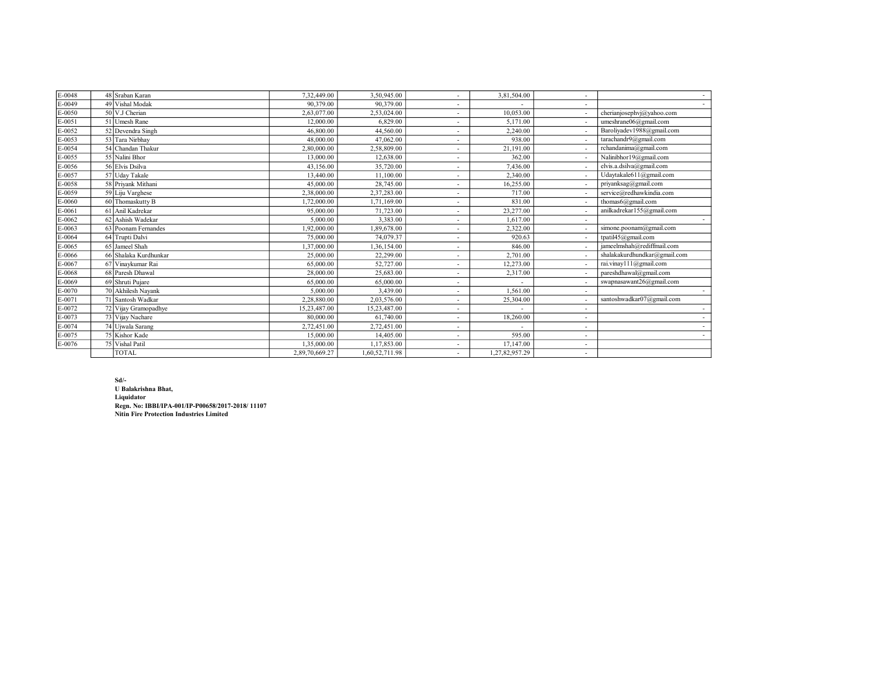| E-0048 | 48 Sraban Karan       | 7,32,449.00    | 3.50.945.00    |                          | 3,81,504.00    |                          | $\sim$                       |
|--------|-----------------------|----------------|----------------|--------------------------|----------------|--------------------------|------------------------------|
| E-0049 | 49 Vishal Modak       | 90,379.00      | 90,379.00      |                          |                |                          |                              |
| E-0050 | 50 V.J Cherian        | 2.63,077.00    | 2,53,024.00    |                          | 10.053.00      |                          | cherianjosephvj@yahoo.com    |
| E-0051 | 51 Umesh Rane         | 12,000.00      | 6,829.00       |                          | 5.171.00       |                          | umeshrane06@gmail.com        |
| E-0052 | 52 Devendra Singh     | 46,800.00      | 44,560.00      | $\overline{\phantom{a}}$ | 2.240.00       |                          | Baroliyadev1988@gmail.com    |
| E-0053 | 53 Tara Nirbhav       | 48,000.00      | 47,062.00      |                          | 938.00         |                          | tarachandr9@gmail.com        |
| E-0054 | 54 Chandan Thakur     | 2,80,000.00    | 2,58,809.00    |                          | 21.191.00      |                          | rchandanima@gmail.com        |
| E-0055 | 55 Nalini Bhor        | 13,000.00      | 12,638.00      |                          | 362.00         |                          | Nalinibhor19@gmail.com       |
| E-0056 | 56 Elvis Dsilva       | 43.156.00      | 35,720.00      | $\sim$                   | 7,436.00       |                          | elvis.a.dsilva@gmail.com     |
| E-0057 | 57 Uday Takale        | 13,440.00      | 11,100.00      | $\sim$                   | 2,340.00       |                          | Udaytakale611@gmail.com      |
| E-0058 | 58 Priyank Mithani    | 45,000.00      | 28,745.00      | $\sim$                   | 16,255.00      | $\overline{\phantom{a}}$ | priyanksag@gmail.com         |
| E-0059 | 59 Liju Varghese      | 2,38,000.00    | 2,37,283.00    | $\overline{\phantom{a}}$ | 717.00         |                          | service@redhawkindia.com     |
| E-0060 | 60 Thomaskutty B      | 1,72,000.00    | 1,71,169.00    | $\sim$                   | 831.00         | $\overline{\phantom{0}}$ | thomas6@gmail.com            |
| E-0061 | 61 Anil Kadrekar      | 95,000.00      | 71,723.00      | $\sim$                   | 23,277.00      |                          | anilkadrekar155@gmail.com    |
| E-0062 | 62 Ashish Wadekar     | 5,000.00       | 3,383.00       | $\sim$                   | 1.617.00       | $\overline{\phantom{a}}$ |                              |
| E-0063 | 63 Poonam Fernandes   | 1.92.000.00    | 1.89,678.00    | $\sim$                   | 2,322.00       |                          | simone.poonam@gmail.com      |
| E-0064 | 64 Trupti Dalvi       | 75,000.00      | 74,079.37      | $\sim$                   | 920.63         | $\overline{\phantom{a}}$ | tpatil45@gmail.com           |
| E-0065 | 65 Jameel Shah        | 1,37,000.00    | 1,36,154.00    | $\sim$                   | 846.00         |                          | jameelmshah@rediffmail.com   |
| E-0066 | 66 Shalaka Kurdhunkar | 25,000.00      | 22,299.00      | $\overline{\phantom{a}}$ | 2,701.00       |                          | shalakakurdhundkar@gmail.com |
| E-0067 | 67 Vinaykumar Rai     | 65,000.00      | 52,727.00      | $\overline{\phantom{a}}$ | 12,273.00      |                          | rai.vinay111@gmail.com       |
| E-0068 | 68 Paresh Dhawal      | 28,000.00      | 25,683.00      | $\sim$                   | 2,317.00       |                          | pareshdhawal@gmail.com       |
| E-0069 | 69 Shruti Pujare      | 65,000.00      | 65,000.00      | $\sim$                   |                |                          | swapnasawant26@gmail.com     |
| E-0070 | 70 Akhilesh Nayank    | 5,000.00       | 3,439.00       | $\sim$                   | 1.561.00       | $\overline{\phantom{a}}$ |                              |
| E-0071 | 71 Santosh Wadkar     | 2,28,880.00    | 2,03,576.00    | $\overline{\phantom{a}}$ | 25,304.00      |                          | santoshwadkar07@gmail.com    |
| E-0072 | 72 Vijay Gramopadhye  | 15,23,487.00   | 15,23,487.00   | $\sim$                   |                | $\overline{a}$           |                              |
| E-0073 | 73 Vijay Nachare      | 80,000.00      | 61,740.00      | $\sim$                   | 18,260.00      | $\overline{a}$           |                              |
| E-0074 | 74 Ujwala Sarang      | 2,72,451.00    | 2,72,451.00    | $\sim$                   |                | $\overline{\phantom{a}}$ |                              |
| E-0075 | 75 Kishor Kade        | 15,000.00      | 14,405.00      |                          | 595.00         | $\overline{a}$           |                              |
| E-0076 | 75 Vishal Patil       | 1,35,000.00    | 1,17,853.00    |                          | 17,147.00      | $\overline{\phantom{a}}$ |                              |
|        | <b>TOTAL</b>          | 2,89,70,669.27 | 1,60,52,711.98 | $\overline{\phantom{a}}$ | 1,27,82,957.29 | $\overline{\phantom{a}}$ |                              |

Sd/- U Balakrishna Bhat, Liquidator Regn. No: IBBI/IPA-001/IP-P00658/2017-2018/ 11107 Nitin Fire Protection Industries Limited